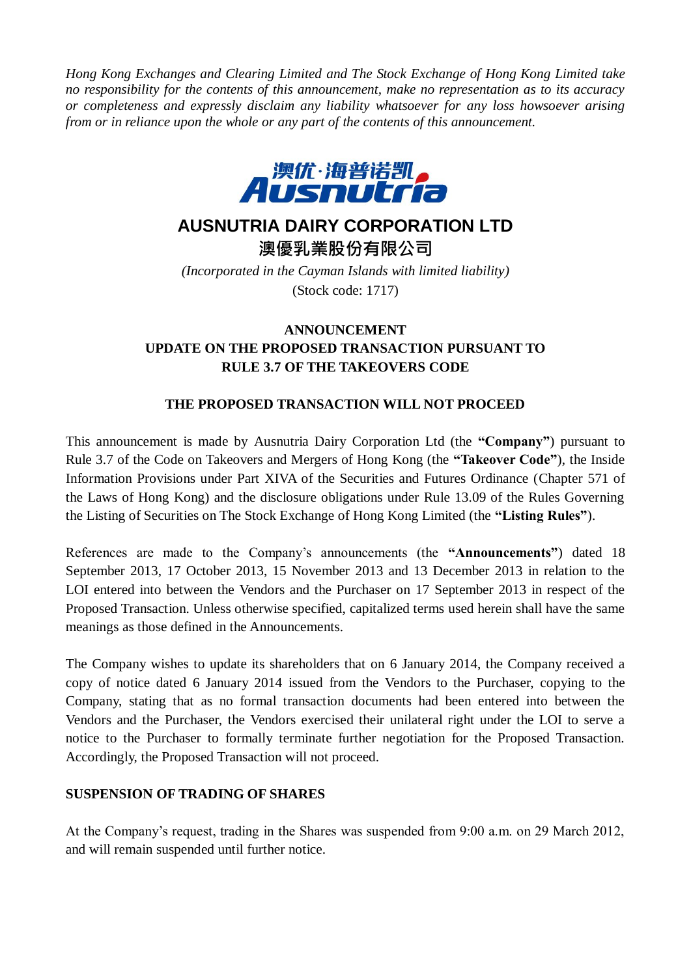*Hong Kong Exchanges and Clearing Limited and The Stock Exchange of Hong Kong Limited take no responsibility for the contents of this announcement, make no representation as to its accuracy or completeness and expressly disclaim any liability whatsoever for any loss howsoever arising from or in reliance upon the whole or any part of the contents of this announcement.*



## **AUSNUTRIA DAIRY CORPORATION LTD**

澳優乳業股份有限公司

*(Incorporated in the Cayman Islands with limited liability)* (Stock code: 1717)

## **ANNOUNCEMENT UPDATE ON THE PROPOSED TRANSACTION PURSUANT TO RULE 3.7 OF THE TAKEOVERS CODE**

## **THE PROPOSED TRANSACTION WILL NOT PROCEED**

This announcement is made by Ausnutria Dairy Corporation Ltd (the **"Company"**) pursuant to Rule 3.7 of the Code on Takeovers and Mergers of Hong Kong (the **"Takeover Code"**), the Inside Information Provisions under Part XIVA of the Securities and Futures Ordinance (Chapter 571 of the Laws of Hong Kong) and the disclosure obligations under Rule 13.09 of the Rules Governing the Listing of Securities on The Stock Exchange of Hong Kong Limited (the **"Listing Rules"**).

References are made to the Company's announcements (the **"Announcements"**) dated 18 September 2013, 17 October 2013, 15 November 2013 and 13 December 2013 in relation to the LOI entered into between the Vendors and the Purchaser on 17 September 2013 in respect of the Proposed Transaction. Unless otherwise specified, capitalized terms used herein shall have the same meanings as those defined in the Announcements.

The Company wishes to update its shareholders that on 6 January 2014, the Company received a copy of notice dated 6 January 2014 issued from the Vendors to the Purchaser, copying to the Company, stating that as no formal transaction documents had been entered into between the Vendors and the Purchaser, the Vendors exercised their unilateral right under the LOI to serve a notice to the Purchaser to formally terminate further negotiation for the Proposed Transaction. Accordingly, the Proposed Transaction will not proceed.

## **SUSPENSION OF TRADING OF SHARES**

At the Company's request, trading in the Shares was suspended from 9:00 a.m. on 29 March 2012, and will remain suspended until further notice.